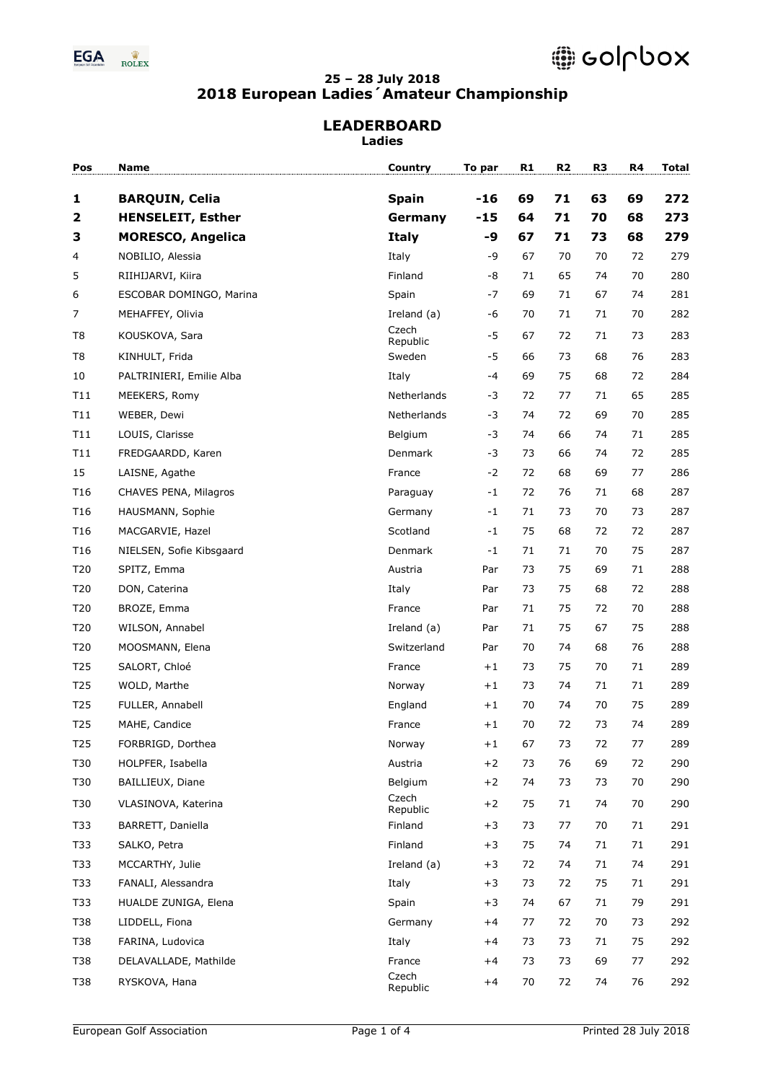

# **LEADERBOARD**

**Ladies**

| Pos             | Name                     | Country           | To par | R1 | R <sub>2</sub> | R <sub>3</sub> | R4 | <b>Total</b> |
|-----------------|--------------------------|-------------------|--------|----|----------------|----------------|----|--------------|
| 1               | <b>BARQUIN, Celia</b>    | <b>Spain</b>      | $-16$  | 69 | 71             | 63             | 69 | 272          |
| $\mathbf{2}$    | <b>HENSELEIT, Esther</b> | Germany           | $-15$  | 64 | 71             | 70             | 68 | 273          |
| 3               | <b>MORESCO, Angelica</b> | <b>Italy</b>      | -9     | 67 | 71             | 73             | 68 | 279          |
| 4               | NOBILIO, Alessia         | Italy             | -9     | 67 | 70             | 70             | 72 | 279          |
| 5               | RIIHIJARVI, Kiira        | Finland           | -8     | 71 | 65             | 74             | 70 | 280          |
| 6               | ESCOBAR DOMINGO, Marina  | Spain             | -7     | 69 | 71             | 67             | 74 | 281          |
| $\overline{7}$  | MEHAFFEY, Olivia         | Ireland (a)       | -6     | 70 | 71             | 71             | 70 | 282          |
| T8              | KOUSKOVA, Sara           | Czech<br>Republic | $-5$   | 67 | 72             | 71             | 73 | 283          |
| T8              | KINHULT, Frida           | Sweden            | -5     | 66 | 73             | 68             | 76 | 283          |
| 10              | PALTRINIERI, Emilie Alba | Italy             | -4     | 69 | 75             | 68             | 72 | 284          |
| T11             | MEEKERS, Romy            | Netherlands       | -3     | 72 | 77             | 71             | 65 | 285          |
| T11             | WEBER, Dewi              | Netherlands       | -3     | 74 | 72             | 69             | 70 | 285          |
| T11             | LOUIS, Clarisse          | Belgium           | -3     | 74 | 66             | 74             | 71 | 285          |
| T11             | FREDGAARDD, Karen        | Denmark           | $-3$   | 73 | 66             | 74             | 72 | 285          |
| 15              | LAISNE, Agathe           | France            | $-2$   | 72 | 68             | 69             | 77 | 286          |
| T <sub>16</sub> | CHAVES PENA, Milagros    | Paraguay          | $-1$   | 72 | 76             | 71             | 68 | 287          |
| T <sub>16</sub> | HAUSMANN, Sophie         | Germany           | $-1$   | 71 | 73             | 70             | 73 | 287          |
| T <sub>16</sub> | MACGARVIE, Hazel         | Scotland          | $-1$   | 75 | 68             | 72             | 72 | 287          |
| T <sub>16</sub> | NIELSEN, Sofie Kibsgaard | Denmark           | $-1$   | 71 | 71             | 70             | 75 | 287          |
| T20             | SPITZ, Emma              | Austria           | Par    | 73 | 75             | 69             | 71 | 288          |
| T20             | DON, Caterina            | Italy             | Par    | 73 | 75             | 68             | 72 | 288          |
| T20             | BROZE, Emma              | France            | Par    | 71 | 75             | 72             | 70 | 288          |
| T20             | WILSON, Annabel          | Ireland (a)       | Par    | 71 | 75             | 67             | 75 | 288          |
| T20             | MOOSMANN, Elena          | Switzerland       | Par    | 70 | 74             | 68             | 76 | 288          |
| T <sub>25</sub> | SALORT, Chloé            | France            | $+1$   | 73 | 75             | 70             | 71 | 289          |
| T <sub>25</sub> | WOLD, Marthe             | Norway            | $+1$   | 73 | 74             | 71             | 71 | 289          |
| T <sub>25</sub> | FULLER, Annabell         | England           | $+1$   | 70 | 74             | 70             | 75 | 289          |
| T <sub>25</sub> | MAHE, Candice            | France            | $+1$   | 70 | 72             | 73             | 74 | 289          |
| T <sub>25</sub> | FORBRIGD, Dorthea        | Norway            | $+1$   | 67 | 73             | 72             | 77 | 289          |
| T30             | HOLPFER, Isabella        | Austria           | $+2$   | 73 | 76             | 69             | 72 | 290          |
| T30             | BAILLIEUX, Diane         | Belgium           | $+2$   | 74 | 73             | 73             | 70 | 290          |
| T30             | VLASINOVA, Katerina      | Czech<br>Republic | $+2$   | 75 | 71             | 74             | 70 | 290          |
| T33             | BARRETT, Daniella        | Finland           | $+3$   | 73 | 77             | 70             | 71 | 291          |
| T33             | SALKO, Petra             | Finland           | $+3$   | 75 | 74             | 71             | 71 | 291          |
| T33             | MCCARTHY, Julie          | Ireland (a)       | $+3$   | 72 | 74             | 71             | 74 | 291          |
| T33             | FANALI, Alessandra       | Italy             | $+3$   | 73 | 72             | 75             | 71 | 291          |
| T33             | HUALDE ZUNIGA, Elena     | Spain             | $+3$   | 74 | 67             | 71             | 79 | 291          |
| T38             | LIDDELL, Fiona           | Germany           | $+4$   | 77 | 72             | 70             | 73 | 292          |
| T38             | FARINA, Ludovica         | Italy             | $+4$   | 73 | 73             | 71             | 75 | 292          |
| T38             | DELAVALLADE, Mathilde    | France            | $+4$   | 73 | 73             | 69             | 77 | 292          |
| T38             | RYSKOVA, Hana            | Czech<br>Republic | $+4$   | 70 | 72             | 74             | 76 | 292          |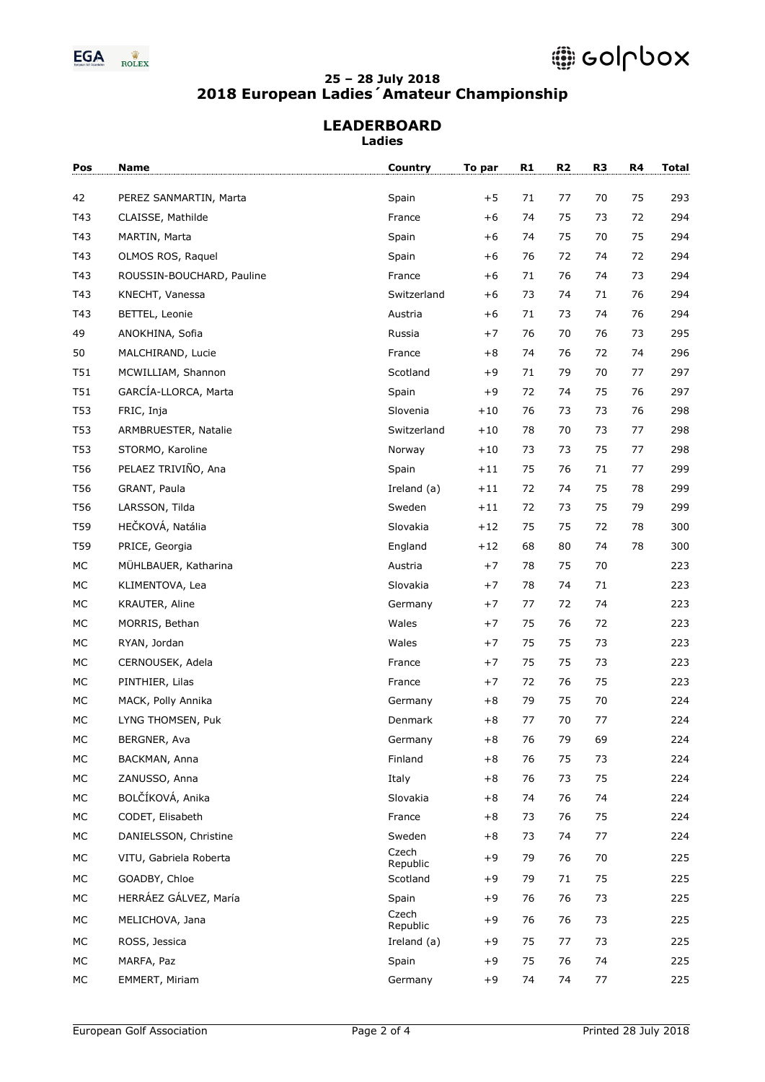

#### **LEADERBOARD Ladies**

| Pos      | Name                                      | Country            | To par       | R1       | R <sub>2</sub> | R <sub>3</sub> | R4 | <b>Total</b> |
|----------|-------------------------------------------|--------------------|--------------|----------|----------------|----------------|----|--------------|
| 42       | PEREZ SANMARTIN, Marta                    | Spain              | $+5$         | 71       | 77             | 70             | 75 | 293          |
| T43      | CLAISSE, Mathilde                         | France             | $+6$         | 74       | 75             | 73             | 72 | 294          |
| T43      | MARTIN, Marta                             | Spain              | $+6$         | 74       | 75             | 70             | 75 | 294          |
| T43      | OLMOS ROS, Raquel                         | Spain              | $+6$         | 76       | 72             | 74             | 72 | 294          |
| T43      | ROUSSIN-BOUCHARD, Pauline                 | France             | $+6$         | 71       | 76             | 74             | 73 | 294          |
| T43      | KNECHT, Vanessa                           | Switzerland        | $+6$         | 73       | 74             | 71             | 76 | 294          |
| T43      | BETTEL, Leonie                            | Austria            | $+6$         | 71       | 73             | 74             | 76 | 294          |
| 49       | ANOKHINA, Sofia                           | Russia             | $+7$         | 76       | 70             | 76             | 73 | 295          |
| 50       | MALCHIRAND, Lucie                         | France             | $+8$         | 74       | 76             | 72             | 74 | 296          |
| T51      | MCWILLIAM, Shannon                        | Scotland           | $+9$         | 71       | 79             | 70             | 77 | 297          |
| T51      | GARCÍA-LLORCA, Marta                      | Spain              | $+9$         | 72       | 74             | 75             | 76 | 297          |
| T53      | FRIC, Inja                                | Slovenia           | $+10$        | 76       | 73             | 73             | 76 | 298          |
| T53      | ARMBRUESTER, Natalie                      | Switzerland        | $+10$        | 78       | 70             | 73             | 77 | 298          |
| T53      | STORMO, Karoline                          | Norway             | $+10$        | 73       | 73             | 75             | 77 | 298          |
| T56      | PELAEZ TRIVIÑO, Ana                       | Spain              | $+11$        | 75       | 76             | 71             | 77 | 299          |
| T56      | GRANT, Paula                              | Ireland (a)        | $+11$        | 72       | 74             | 75             | 78 | 299          |
| T56      | LARSSON, Tilda                            | Sweden             | $+11$        | 72       | 73             | 75             | 79 | 299          |
| T59      | HEČKOVÁ, Natália                          | Slovakia           | $+12$        | 75       | 75             | 72             | 78 | 300          |
| T59      | PRICE, Georgia                            | England            | $+12$        | 68       | 80             | 74             | 78 | 300          |
| МC       | MÜHLBAUER, Katharina                      | Austria            | $+7$         | 78       | 75             | 70             |    | 223          |
| МC       | KLIMENTOVA, Lea                           | Slovakia           | $+7$         | 78       | 74             | 71             |    | 223          |
| МC       | KRAUTER, Aline                            | Germany            | $+7$         | 77       | 72             | 74             |    | 223          |
| MC       | MORRIS, Bethan                            | Wales              | $+7$         | 75       | 76             | 72             |    | 223          |
| МC       | RYAN, Jordan                              | Wales              | $+7$         | 75       | 75             | 73             |    | 223          |
| МC       |                                           |                    | $+7$         | 75       | 75             |                |    | 223          |
|          | CERNOUSEK, Adela                          | France             |              | 72       |                | 73             |    |              |
| МC<br>MC | PINTHIER, Lilas                           | France             | $+7$<br>$+8$ | 79       | 76<br>75       | 75<br>70       |    | 223<br>224   |
| MC       | MACK, Polly Annika<br>LYNG THOMSEN, Puk   | Germany<br>Denmark | $+8$         | 77       | 70             | 77             |    | 224          |
|          | BERGNER, Ava                              |                    | $+8$         | 76       | 79             |                |    | 224          |
| MC<br>МC | BACKMAN, Anna                             | Germany<br>Finland | $+8$         | 76       | 75             | 69<br>73       |    | 224          |
|          |                                           |                    |              |          |                |                |    |              |
| МC<br>МC | ZANUSSO, Anna<br>BOLČÍKOVÁ, Anika         | Italy<br>Slovakia  | $+8$<br>$+8$ | 76<br>74 | 73<br>76       | 75<br>74       |    | 224<br>224   |
|          |                                           |                    |              |          |                |                |    |              |
| МC       | CODET, Elisabeth<br>DANIELSSON, Christine | France             | $+8$         | 73       | 76             | 75             |    | 224          |
| МC       |                                           | Sweden<br>Czech    | $+8$         | 73       | 74             | 77             |    | 224          |
| МC       | VITU, Gabriela Roberta                    | Republic           | $+9$         | 79       | 76             | 70             |    | 225          |
| МC       | GOADBY, Chloe                             | Scotland           | $+9$         | 79       | 71             | 75             |    | 225          |
| МC       | HERRÁEZ GÁLVEZ, María                     | Spain              | $+9$         | 76       | 76             | 73             |    | 225          |
| МC       | MELICHOVA, Jana                           | Czech<br>Republic  | $+9$         | 76       | 76             | 73             |    | 225          |
| МC       | ROSS, Jessica                             | Ireland (a)        | $+9$         | 75       | 77             | 73             |    | 225          |
| МC       | MARFA, Paz                                | Spain              | $+9$         | 75       | 76             | 74             |    | 225          |
| МC       | EMMERT, Miriam                            | Germany            | $+9$         | 74       | 74             | 77             |    | 225          |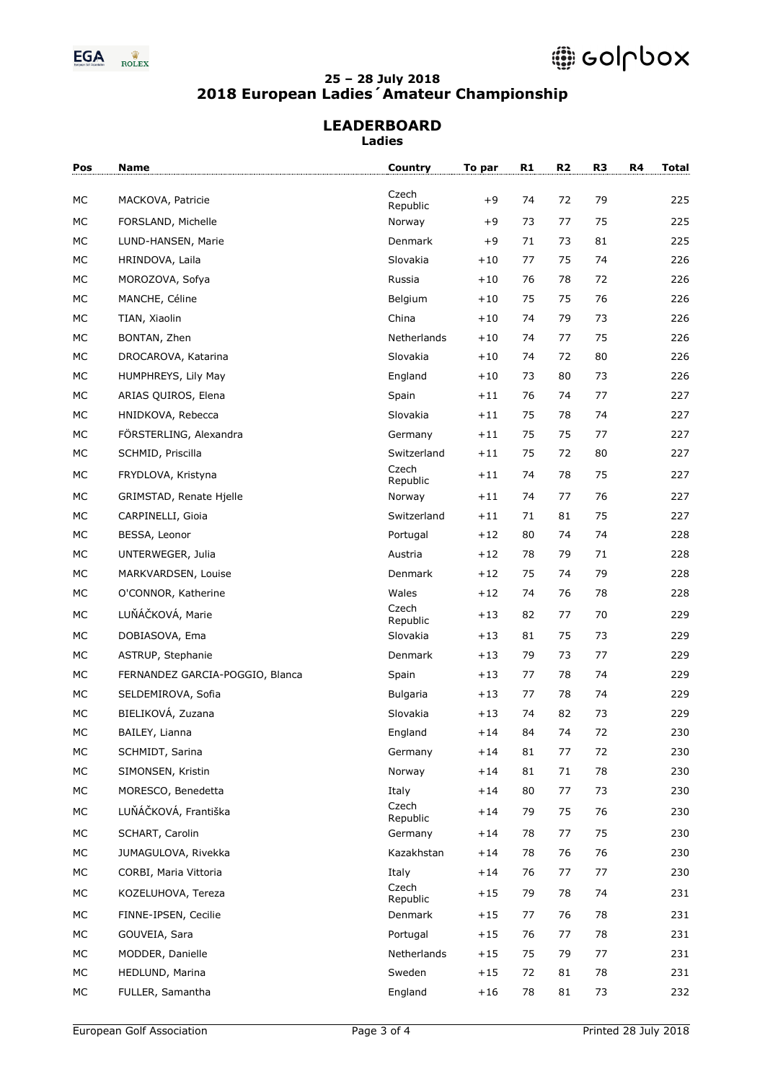

#### **LEADERBOARD Ladies**

| Pos  | Name                            | Country           | To par | R1 | R2 | R <sub>3</sub> | R4 | <b>Total</b> |
|------|---------------------------------|-------------------|--------|----|----|----------------|----|--------------|
|      |                                 | Czech             |        |    |    |                |    |              |
| МC   | MACKOVA, Patricie               | Republic          | $+9$   | 74 | 72 | 79             |    | 225          |
| MC   | FORSLAND, Michelle              | Norway            | $+9$   | 73 | 77 | 75             |    | 225          |
| МC   | LUND-HANSEN, Marie              | Denmark           | $+9$   | 71 | 73 | 81             |    | 225          |
| МC   | HRINDOVA, Laila                 | Slovakia          | $+10$  | 77 | 75 | 74             |    | 226          |
| МC   | MOROZOVA, Sofya                 | Russia            | $+10$  | 76 | 78 | 72             |    | 226          |
| МC   | MANCHE, Céline                  | Belgium           | $+10$  | 75 | 75 | 76             |    | 226          |
| МC   | TIAN, Xiaolin                   | China             | $+10$  | 74 | 79 | 73             |    | 226          |
| МC   | BONTAN, Zhen                    | Netherlands       | $+10$  | 74 | 77 | 75             |    | 226          |
| МC   | DROCAROVA, Katarina             | Slovakia          | $+10$  | 74 | 72 | 80             |    | 226          |
| МC   | HUMPHREYS, Lily May             | England           | $+10$  | 73 | 80 | 73             |    | 226          |
| МC   | ARIAS QUIROS, Elena             | Spain             | $+11$  | 76 | 74 | 77             |    | 227          |
| МC   | HNIDKOVA, Rebecca               | Slovakia          | $+11$  | 75 | 78 | 74             |    | 227          |
| МC   | FÖRSTERLING, Alexandra          | Germany           | $+11$  | 75 | 75 | 77             |    | 227          |
| МC   | SCHMID, Priscilla               | Switzerland       | $+11$  | 75 | 72 | 80             |    | 227          |
| МC   | FRYDLOVA, Kristyna              | Czech<br>Republic | $+11$  | 74 | 78 | 75             |    | 227          |
| MC   | GRIMSTAD, Renate Hjelle         | Norway            | $+11$  | 74 | 77 | 76             |    | 227          |
| MC   | CARPINELLI, Gioia               | Switzerland       | $+11$  | 71 | 81 | 75             |    | 227          |
| МC   | BESSA, Leonor                   | Portugal          | $+12$  | 80 | 74 | 74             |    | 228          |
| МC   | UNTERWEGER, Julia               | Austria           | $+12$  | 78 | 79 | 71             |    | 228          |
| МC   | MARKVARDSEN, Louise             | Denmark           | $+12$  | 75 | 74 | 79             |    | 228          |
| МC   | O'CONNOR, Katherine             | Wales             | $+12$  | 74 | 76 | 78             |    | 228          |
| МC   | LUŇÁČKOVÁ, Marie                | Czech<br>Republic | $+13$  | 82 | 77 | 70             |    | 229          |
| МC   | DOBIASOVA, Ema                  | Slovakia          | $+13$  | 81 | 75 | 73             |    | 229          |
| МC   | ASTRUP, Stephanie               | Denmark           | $+13$  | 79 | 73 | 77             |    | 229          |
| МC   | FERNANDEZ GARCIA-POGGIO, Blanca | Spain             | $+13$  | 77 | 78 | 74             |    | 229          |
| МC   | SELDEMIROVA, Sofia              | <b>Bulgaria</b>   | $+13$  | 77 | 78 | 74             |    | 229          |
| MC   | BIELIKOVÁ, Zuzana               | Slovakia          | $+13$  | 74 | 82 | 73             |    | 229          |
| MC   | BAILEY, Lianna                  | England           | $+14$  | 84 | 74 | 72             |    | 230          |
| МC   | SCHMIDT, Sarina                 | Germany           | $+14$  | 81 | 77 | 72             |    | 230          |
| МC   | SIMONSEN, Kristin               | Norway            | $+14$  | 81 | 71 | 78             |    | 230          |
| МC   | MORESCO, Benedetta              | Italy             | $+14$  | 80 | 77 | 73             |    | 230          |
| МC   | LUŇÁČKOVÁ, Františka            | Czech<br>Republic | $+14$  | 79 | 75 | 76             |    | 230          |
| МC   | SCHART, Carolin                 | Germany           | $+14$  | 78 | 77 | 75             |    | 230          |
| МC   | JUMAGULOVA, Rivekka             | Kazakhstan        | $+14$  | 78 | 76 | 76             |    | 230          |
| МC   | CORBI, Maria Vittoria           | Italy             | $+14$  | 76 | 77 | 77             |    | 230          |
| МC   | KOZELUHOVA, Tereza              | Czech<br>Republic | $+15$  | 79 | 78 | 74             |    | 231          |
| МC   | FINNE-IPSEN, Cecilie            | Denmark           | $+15$  | 77 | 76 | 78             |    | 231          |
| МC   | GOUVEIA, Sara                   | Portugal          | $+15$  | 76 | 77 | 78             |    | 231          |
| МC   | MODDER, Danielle                | Netherlands       | $+15$  | 75 | 79 | 77             |    | 231          |
| $MC$ | HEDLUND, Marina                 | Sweden            | $+15$  | 72 | 81 | 78             |    | 231          |
| МC   | FULLER, Samantha                | England           | $+16$  | 78 | 81 | 73             |    | 232          |